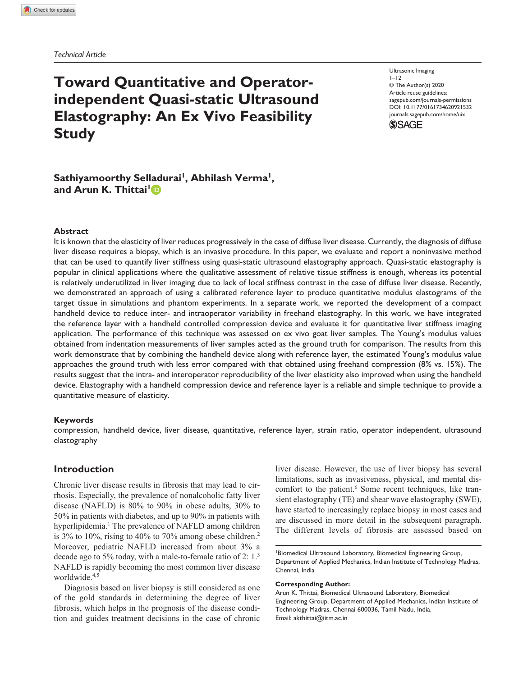*Technical Article*

# **Toward Quantitative and Operatorindependent Quasi-static Ultrasound Elastography: An Ex Vivo Feasibility Study**

DOI: 10.1177/0161734620921532 Ultrasonic Imaging  $1 - 12$ © The Author(s) 2020 Article reuse guidelines: sagepub.com/journals-permissions journals.sagepub.com/home/uix



## **Sathiyamoorthy Selladurai<sup>1</sup> , Abhilash Verma<sup>1</sup> , and Arun K. Thittai<sup>1</sup>**

#### **Abstract**

It is known that the elasticity of liver reduces progressively in the case of diffuse liver disease. Currently, the diagnosis of diffuse liver disease requires a biopsy, which is an invasive procedure. In this paper, we evaluate and report a noninvasive method that can be used to quantify liver stiffness using quasi-static ultrasound elastography approach. Quasi-static elastography is popular in clinical applications where the qualitative assessment of relative tissue stiffness is enough, whereas its potential is relatively underutilized in liver imaging due to lack of local stiffness contrast in the case of diffuse liver disease. Recently, we demonstrated an approach of using a calibrated reference layer to produce quantitative modulus elastograms of the target tissue in simulations and phantom experiments. In a separate work, we reported the development of a compact handheld device to reduce inter- and intraoperator variability in freehand elastography. In this work, we have integrated the reference layer with a handheld controlled compression device and evaluate it for quantitative liver stiffness imaging application. The performance of this technique was assessed on ex vivo goat liver samples. The Young's modulus values obtained from indentation measurements of liver samples acted as the ground truth for comparison. The results from this work demonstrate that by combining the handheld device along with reference layer, the estimated Young's modulus value approaches the ground truth with less error compared with that obtained using freehand compression (8% vs. 15%). The results suggest that the intra- and interoperator reproducibility of the liver elasticity also improved when using the handheld device. Elastography with a handheld compression device and reference layer is a reliable and simple technique to provide a quantitative measure of elasticity.

#### **Keywords**

compression, handheld device, liver disease, quantitative, reference layer, strain ratio, operator independent, ultrasound elastography

## **Introduction**

Chronic liver disease results in fibrosis that may lead to cirrhosis. Especially, the prevalence of nonalcoholic fatty liver disease (NAFLD) is 80% to 90% in obese adults, 30% to 50% in patients with diabetes, and up to 90% in patients with hyperlipidemia.<sup>1</sup> The prevalence of NAFLD among children is 3% to 10%, rising to 40% to 70% among obese children.<sup>2</sup> Moreover, pediatric NAFLD increased from about 3% a decade ago to 5% today, with a male-to-female ratio of 2: 1.<sup>3</sup> NAFLD is rapidly becoming the most common liver disease worldwide.<sup>4,5</sup>

Diagnosis based on liver biopsy is still considered as one of the gold standards in determining the degree of liver fibrosis, which helps in the prognosis of the disease condition and guides treatment decisions in the case of chronic liver disease. However, the use of liver biopsy has several limitations, such as invasiveness, physical, and mental discomfort to the patient.<sup>6</sup> Some recent techniques, like transient elastography (TE) and shear wave elastography (SWE), have started to increasingly replace biopsy in most cases and are discussed in more detail in the subsequent paragraph. The different levels of fibrosis are assessed based on

#### **Corresponding Author:**

Arun K. Thittai, Biomedical Ultrasound Laboratory, Biomedical Engineering Group, Department of Applied Mechanics, Indian Institute of Technology Madras, Chennai 600036, Tamil Nadu, India. Email: akthittai@iitm.ac.in

<sup>1</sup>Biomedical Ultrasound Laboratory, Biomedical Engineering Group, Department of Applied Mechanics, Indian Institute of Technology Madras, Chennai, India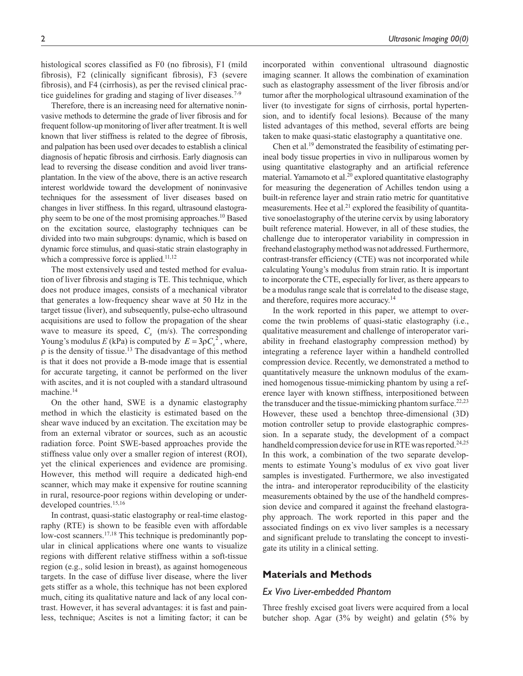histological scores classified as F0 (no fibrosis), F1 (mild fibrosis), F2 (clinically significant fibrosis), F3 (severe fibrosis), and F4 (cirrhosis), as per the revised clinical practice guidelines for grading and staging of liver diseases.<sup>7-9</sup>

Therefore, there is an increasing need for alternative noninvasive methods to determine the grade of liver fibrosis and for frequent follow-up monitoring of liver after treatment. It is well known that liver stiffness is related to the degree of fibrosis, and palpation has been used over decades to establish a clinical diagnosis of hepatic fibrosis and cirrhosis. Early diagnosis can lead to reversing the disease condition and avoid liver transplantation. In the view of the above, there is an active research interest worldwide toward the development of noninvasive techniques for the assessment of liver diseases based on changes in liver stiffness. In this regard, ultrasound elastography seem to be one of the most promising approaches.<sup>10</sup> Based on the excitation source, elastography techniques can be divided into two main subgroups: dynamic, which is based on dynamic force stimulus, and quasi-static strain elastography in which a compressive force is applied.<sup>11,12</sup>

The most extensively used and tested method for evaluation of liver fibrosis and staging is TE. This technique, which does not produce images, consists of a mechanical vibrator that generates a low-frequency shear wave at 50 Hz in the target tissue (liver), and subsequently, pulse-echo ultrasound acquisitions are used to follow the propagation of the shear wave to measure its speed,  $C_s$  (m/s). The corresponding Young's modulus *E* (kPa) is computed by  $E = 3\rho C_s^2$ , where,  $\rho$  is the density of tissue.<sup>13</sup> The disadvantage of this method is that it does not provide a B-mode image that is essential for accurate targeting, it cannot be performed on the liver with ascites, and it is not coupled with a standard ultrasound machine.<sup>14</sup>

On the other hand, SWE is a dynamic elastography method in which the elasticity is estimated based on the shear wave induced by an excitation. The excitation may be from an external vibrator or sources, such as an acoustic radiation force. Point SWE-based approaches provide the stiffness value only over a smaller region of interest (ROI), yet the clinical experiences and evidence are promising. However, this method will require a dedicated high-end scanner, which may make it expensive for routine scanning in rural, resource-poor regions within developing or underdeveloped countries.15,16

In contrast, quasi-static elastography or real-time elastography (RTE) is shown to be feasible even with affordable low-cost scanners.<sup>17,18</sup> This technique is predominantly popular in clinical applications where one wants to visualize regions with different relative stiffness within a soft-tissue region (e.g., solid lesion in breast), as against homogeneous targets. In the case of diffuse liver disease, where the liver gets stiffer as a whole, this technique has not been explored much, citing its qualitative nature and lack of any local contrast. However, it has several advantages: it is fast and painless, technique; Ascites is not a limiting factor; it can be

incorporated within conventional ultrasound diagnostic imaging scanner. It allows the combination of examination such as elastography assessment of the liver fibrosis and/or tumor after the morphological ultrasound examination of the liver (to investigate for signs of cirrhosis, portal hypertension, and to identify focal lesions). Because of the many listed advantages of this method, several efforts are being taken to make quasi-static elastography a quantitative one.

Chen et al.19 demonstrated the feasibility of estimating perineal body tissue properties in vivo in nulliparous women by using quantitative elastography and an artificial reference material. Yamamoto et al.<sup>20</sup> explored quantitative elastography for measuring the degeneration of Achilles tendon using a built-in reference layer and strain ratio metric for quantitative measurements. Hee et al.<sup>21</sup> explored the feasibility of quantitative sonoelastography of the uterine cervix by using laboratory built reference material. However, in all of these studies, the challenge due to interoperator variability in compression in freehand elastography method was not addressed. Furthermore, contrast-transfer efficiency (CTE) was not incorporated while calculating Young's modulus from strain ratio. It is important to incorporate the CTE, especially for liver, as there appears to be a modulus range scale that is correlated to the disease stage, and therefore, requires more accuracy.<sup>14</sup>

In the work reported in this paper, we attempt to overcome the twin problems of quasi-static elastography (i.e., qualitative measurement and challenge of interoperator variability in freehand elastography compression method) by integrating a reference layer within a handheld controlled compression device. Recently, we demonstrated a method to quantitatively measure the unknown modulus of the examined homogenous tissue-mimicking phantom by using a reference layer with known stiffness, interpositioned between the transducer and the tissue-mimicking phantom surface.<sup>22,23</sup> However, these used a benchtop three-dimensional (3D) motion controller setup to provide elastographic compression. In a separate study, the development of a compact handheld compression device for use in RTE was reported.<sup>24,25</sup> In this work, a combination of the two separate developments to estimate Young's modulus of ex vivo goat liver samples is investigated. Furthermore, we also investigated the intra- and interoperator reproducibility of the elasticity measurements obtained by the use of the handheld compression device and compared it against the freehand elastography approach. The work reported in this paper and the associated findings on ex vivo liver samples is a necessary and significant prelude to translating the concept to investigate its utility in a clinical setting.

## **Materials and Methods**

#### *Ex Vivo Liver-embedded Phantom*

Three freshly excised goat livers were acquired from a local butcher shop. Agar (3% by weight) and gelatin (5% by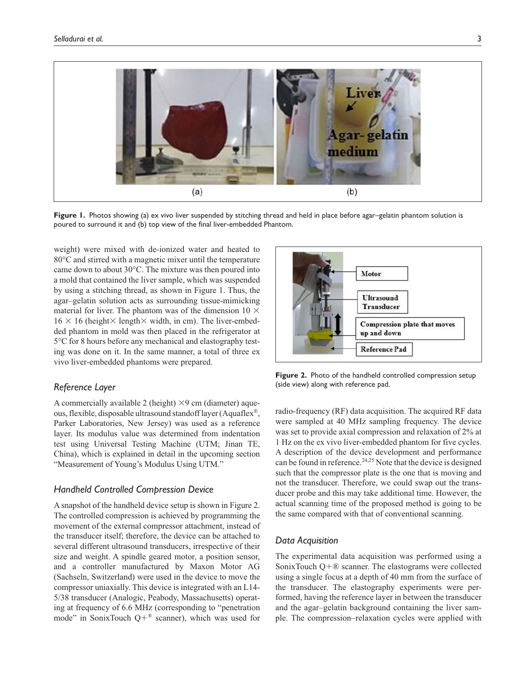

**Figure 1.** Photos showing (a) ex vivo liver suspended by stitching thread and held in place before agar–gelatin phantom solution is poured to surround it and (b) top view of the final liver-embedded Phantom.

weight) were mixed with de-ionized water and heated to 80°C and stirred with a magnetic mixer until the temperature came down to about 30°C. The mixture was then poured into a mold that contained the liver sample, which was suspended by using a stitching thread, as shown in Figure 1. Thus, the agar–gelatin solution acts as surrounding tissue-mimicking material for liver. The phantom was of the dimension 10  $\times$  $16 \times 16$  (height $\times$  length $\times$  width, in cm). The liver-embedded phantom in mold was then placed in the refrigerator at 5°C for 8 hours before any mechanical and elastography testing was done on it. In the same manner, a total of three ex vivo liver-embedded phantoms were prepared.

### *Reference Layer*

A commercially available 2 (height)  $\times$ 9 cm (diameter) aqueous, flexible, disposable ultrasound standoff layer (Aquaflex®, Parker Laboratories, New Jersey) was used as a reference layer. Its modulus value was determined from indentation test using Universal Testing Machine (UTM; Jinan TE, China), which is explained in detail in the upcoming section "Measurement of Young's Modulus Using UTM."

## *Handheld Controlled Compression Device*

A snapshot of the handheld device setup is shown in Figure 2. The controlled compression is achieved by programming the movement of the external compressor attachment, instead of the transducer itself; therefore, the device can be attached to several different ultrasound transducers, irrespective of their size and weight. A spindle geared motor, a position sensor, and a controller manufactured by Maxon Motor AG (Sachseln, Switzerland) were used in the device to move the compressor uniaxially. This device is integrated with an L14- 5/38 transducer (Analogic, Peabody, Massachusetts) operating at frequency of 6.6 MHz (corresponding to "penetration mode" in SonixTouch  $Q + \mathbb{R}$  scanner), which was used for



**Figure 2.** Photo of the handheld controlled compression setup (side view) along with reference pad.

radio-frequency (RF) data acquisition. The acquired RF data were sampled at 40 MHz sampling frequency. The device was set to provide axial compression and relaxation of 2% at 1 Hz on the ex vivo liver-embedded phantom for five cycles. A description of the device development and performance can be found in reference.<sup>24,25</sup> Note that the device is designed such that the compressor plate is the one that is moving and not the transducer. Therefore, we could swap out the transducer probe and this may take additional time. However, the actual scanning time of the proposed method is going to be the same compared with that of conventional scanning.

#### *Data Acquisition*

The experimental data acquisition was performed using a SonixTouch  $Q + \mathbb{R}$  scanner. The elastograms were collected using a single focus at a depth of 40 mm from the surface of the transducer. The elastography experiments were performed, having the reference layer in between the transducer and the agar–gelatin background containing the liver sample. The compression–relaxation cycles were applied with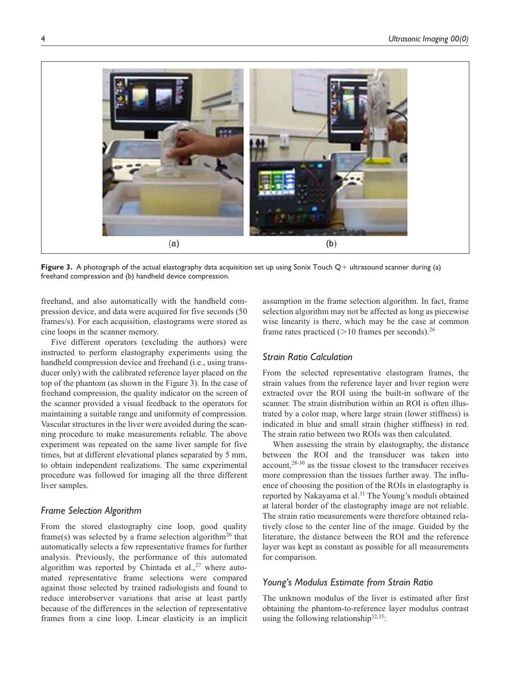

**Figure 3.** A photograph of the actual elastography data acquisition set up using Sonix Touch Q+ ultrasound scanner during (a) freehand compression and (b) handheld device compression.

freehand, and also automatically with the handheld compression device, and data were acquired for five seconds (50 frames/s). For each acquisition, elastograms were stored as cine loops in the scanner memory.

Five different operators (excluding the authors) were instructed to perform elastography experiments using the handheld compression device and freehand (i.e., using transducer only) with the calibrated reference layer placed on the top of the phantom (as shown in the Figure 3). In the case of freehand compression, the quality indicator on the screen of the scanner provided a visual feedback to the operators for maintaining a suitable range and uniformity of compression. Vascular structures in the liver were avoided during the scanning procedure to make measurements reliable. The above experiment was repeated on the same liver sample for five times, but at different elevational planes separated by 5 mm, to obtain independent realizations. The same experimental procedure was followed for imaging all the three different liver samples.

## *Frame Selection Algorithm*

From the stored elastography cine loop, good quality frame(s) was selected by a frame selection algorithm<sup>26</sup> that automatically selects a few representative frames for further analysis. Previously, the performance of this automated algorithm was reported by Chintada et al.,  $27$  where automated representative frame selections were compared against those selected by trained radiologists and found to reduce interobserver variations that arise at least partly because of the differences in the selection of representative frames from a cine loop. Linear elasticity is an implicit

assumption in the frame selection algorithm. In fact, frame selection algorithm may not be affected as long as piecewise wise linearity is there, which may be the case at common frame rates practiced ( $>10$  frames per seconds).<sup>26</sup>

## *Strain Ratio Calculation*

From the selected representative elastogram frames, the strain values from the reference layer and liver region were extracted over the ROI using the built-in software of the scanner. The strain distribution within an ROI is often illustrated by a color map, where large strain (lower stiffness) is indicated in blue and small strain (higher stiffness) in red. The strain ratio between two ROIs was then calculated.

When assessing the strain by elastography, the distance between the ROI and the transducer was taken into account,28-30 as the tissue closest to the transducer receives more compression than the tissues further away. The influence of choosing the position of the ROIs in elastography is reported by Nakayama et al.<sup>31</sup> The Young's moduli obtained at lateral border of the elastography image are not reliable. The strain ratio measurements were therefore obtained relatively close to the center line of the image. Guided by the literature, the distance between the ROI and the reference layer was kept as constant as possible for all measurements for comparison.

## *Young's Modulus Estimate from Strain Ratio*

The unknown modulus of the liver is estimated after first obtaining the phantom-to-reference layer modulus contrast using the following relationship<sup>32,33</sup>: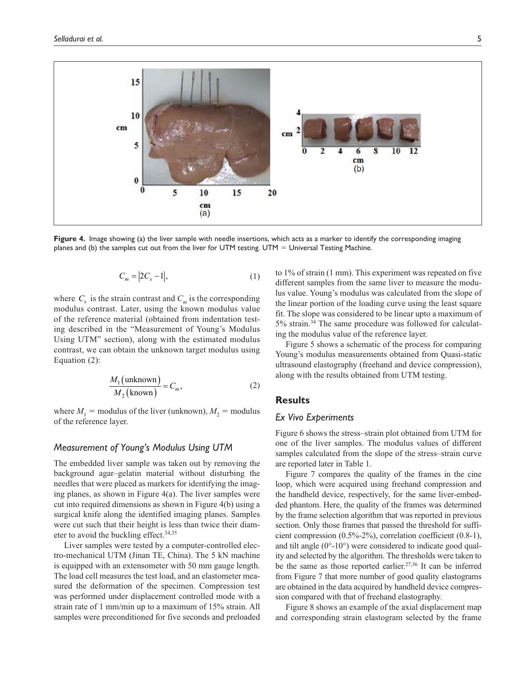

**Figure 4.** Image showing (a) the liver sample with needle insertions, which acts as a marker to identify the corresponding imaging planes and (b) the samples cut out from the liver for UTM testing. UTM = Universal Testing Machine.

$$
C_m = |2C_s - 1|,\t\t(1)
$$

where  $C_s$  is the strain contrast and  $C_m$  is the corresponding modulus contrast. Later, using the known modulus value of the reference material (obtained from indentation testing described in the "Measurement of Young's Modulus Using UTM" section), along with the estimated modulus contrast, we can obtain the unknown target modulus using Equation (2):

$$
\frac{M_1(\text{unknown})}{M_2(\text{known})} = C_m,\tag{2}
$$

where  $M_1$  = modulus of the liver (unknown),  $M_2$  = modulus of the reference layer.

### *Measurement of Young's Modulus Using UTM*

The embedded liver sample was taken out by removing the background agar–gelatin material without disturbing the needles that were placed as markers for identifying the imaging planes, as shown in Figure 4(a). The liver samples were cut into required dimensions as shown in Figure 4(b) using a surgical knife along the identified imaging planes. Samples were cut such that their height is less than twice their diameter to avoid the buckling effect.<sup>34,35</sup>

Liver samples were tested by a computer-controlled electro-mechanical UTM (Jinan TE, China). The 5 kN machine is equipped with an extensometer with 50 mm gauge length. The load cell measures the test load, and an elastometer measured the deformation of the specimen. Compression test was performed under displacement controlled mode with a strain rate of 1 mm/min up to a maximum of 15% strain. All samples were preconditioned for five seconds and preloaded to 1% of strain (1 mm). This experiment was repeated on five different samples from the same liver to measure the modulus value. Young's modulus was calculated from the slope of the linear portion of the loading curve using the least square fit. The slope was considered to be linear upto a maximum of 5% strain.34 The same procedure was followed for calculating the modulus value of the reference layer.

Figure 5 shows a schematic of the process for comparing Young's modulus measurements obtained from Quasi-static ultrasound elastography (freehand and device compression), along with the results obtained from UTM testing.

## **Results**

### *Ex Vivo Experiments*

Figure 6 shows the stress–strain plot obtained from UTM for one of the liver samples. The modulus values of different samples calculated from the slope of the stress–strain curve are reported later in Table 1.

Figure 7 compares the quality of the frames in the cine loop, which were acquired using freehand compression and the handheld device, respectively, for the same liver-embedded phantom. Here, the quality of the frames was determined by the frame selection algorithm that was reported in previous section. Only those frames that passed the threshold for sufficient compression (0.5%-2%), correlation coefficient (0.8-1), and tilt angle (0°-10°) were considered to indicate good quality and selected by the algorithm. The thresholds were taken to be the same as those reported earlier.<sup>27,36</sup> It can be inferred from Figure 7 that more number of good quality elastograms are obtained in the data acquired by handheld device compression compared with that of freehand elastography.

Figure 8 shows an example of the axial displacement map and corresponding strain elastogram selected by the frame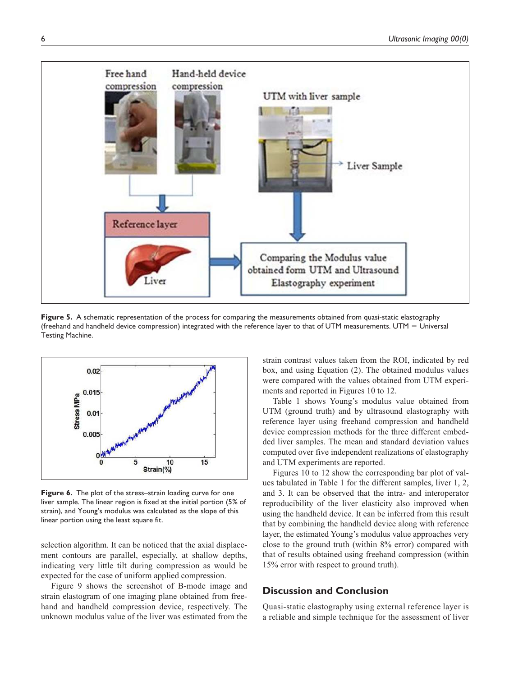

**Figure 5.** A schematic representation of the process for comparing the measurements obtained from quasi-static elastography (freehand and handheld device compression) integrated with the reference layer to that of UTM measurements. UTM  $=$  Universal Testing Machine.



**Figure 6.** The plot of the stress–strain loading curve for one liver sample. The linear region is fixed at the initial portion (5% of strain), and Young's modulus was calculated as the slope of this linear portion using the least square fit.

selection algorithm. It can be noticed that the axial displacement contours are parallel, especially, at shallow depths, indicating very little tilt during compression as would be expected for the case of uniform applied compression.

Figure 9 shows the screenshot of B-mode image and strain elastogram of one imaging plane obtained from freehand and handheld compression device, respectively. The unknown modulus value of the liver was estimated from the

strain contrast values taken from the ROI, indicated by red box, and using Equation (2). The obtained modulus values were compared with the values obtained from UTM experiments and reported in Figures 10 to 12.

Table 1 shows Young's modulus value obtained from UTM (ground truth) and by ultrasound elastography with reference layer using freehand compression and handheld device compression methods for the three different embedded liver samples. The mean and standard deviation values computed over five independent realizations of elastography and UTM experiments are reported.

Figures 10 to 12 show the corresponding bar plot of values tabulated in Table 1 for the different samples, liver 1, 2, and 3. It can be observed that the intra- and interoperator reproducibility of the liver elasticity also improved when using the handheld device. It can be inferred from this result that by combining the handheld device along with reference layer, the estimated Young's modulus value approaches very close to the ground truth (within 8% error) compared with that of results obtained using freehand compression (within 15% error with respect to ground truth).

## **Discussion and Conclusion**

Quasi-static elastography using external reference layer is a reliable and simple technique for the assessment of liver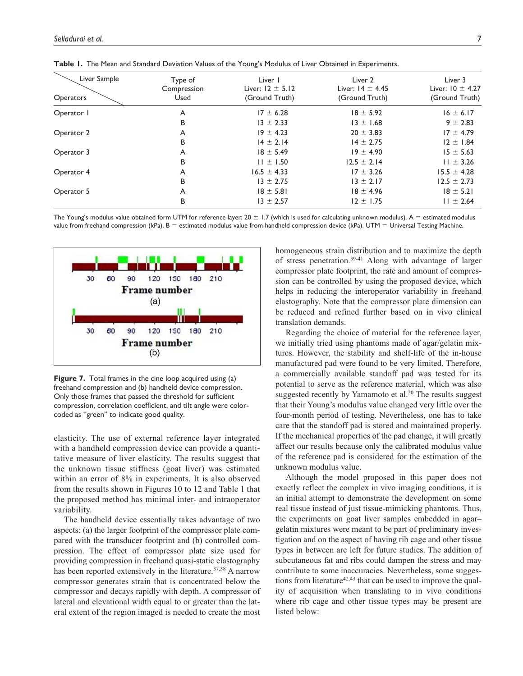| Liver Sample<br><b>Operators</b> | Type of<br>Compression<br>Used | Liver 1<br>Liver: $12 \pm 5.12$<br>(Ground Truth) | Liver <sub>2</sub><br>Liver: $14 \pm 4.45$<br>(Ground Truth) | Liver 3<br>Liver: $10 \pm 4.27$<br>(Ground Truth) |
|----------------------------------|--------------------------------|---------------------------------------------------|--------------------------------------------------------------|---------------------------------------------------|
|                                  |                                |                                                   |                                                              |                                                   |
| B                                | $13 \pm 2.33$                  | $13 \pm 1.68$                                     | $9 \pm 2.83$                                                 |                                                   |
| Operator 2                       | A                              | $19 \pm 4.23$                                     | $20 \pm 3.83$                                                | $17 \pm 4.79$                                     |
|                                  | B                              | $14 \pm 2.14$                                     | $14 \pm 2.75$                                                | $12 \pm 1.84$                                     |
| Operator 3                       | A                              | $18 \pm 5.49$                                     | $19 \pm 4.90$                                                | $15 \pm 5.63$                                     |
|                                  | B                              | $11 \pm 1.50$                                     | $12.5 \pm 2.14$                                              | $11 \pm 3.26$                                     |
| Operator 4                       | A                              | $16.5 \pm 4.33$                                   | $17 \pm 3.26$                                                | $15.5 \pm 4.28$                                   |
|                                  | B                              | $13 \pm 2.75$                                     | $13 \pm 2.17$                                                | $12.5 \pm 2.73$                                   |
| Operator 5                       | A                              | $18 \pm 5.81$                                     | $18 \pm 4.96$                                                | $18 \pm 5.21$                                     |
|                                  | B                              | $13 \pm 2.57$                                     | $12 \pm 1.75$                                                | $11 \pm 2.64$                                     |

**Table 1.** The Mean and Standard Deviation Values of the Young's Modulus of Liver Obtained in Experiments.

The Young's modulus value obtained form UTM for reference layer:  $20 \pm 1.7$  (which is used for calculating unknown modulus). A = estimated modulus value from freehand compression (kPa).  $B =$  estimated modulus value from handheld compression device (kPa). UTM = Universal Testing Machine.



**Figure 7.** Total frames in the cine loop acquired using (a) freehand compression and (b) handheld device compression. Only those frames that passed the threshold for sufficient compression, correlation coefficient, and tilt angle were colorcoded as "green" to indicate good quality.

elasticity. The use of external reference layer integrated with a handheld compression device can provide a quantitative measure of liver elasticity. The results suggest that the unknown tissue stiffness (goat liver) was estimated within an error of 8% in experiments. It is also observed from the results shown in Figures 10 to 12 and Table 1 that the proposed method has minimal inter- and intraoperator variability.

The handheld device essentially takes advantage of two aspects: (a) the larger footprint of the compressor plate compared with the transducer footprint and (b) controlled compression. The effect of compressor plate size used for providing compression in freehand quasi-static elastography has been reported extensively in the literature.<sup>37,38</sup> A narrow compressor generates strain that is concentrated below the compressor and decays rapidly with depth. A compressor of lateral and elevational width equal to or greater than the lateral extent of the region imaged is needed to create the most

homogeneous strain distribution and to maximize the depth of stress penetration.39-41 Along with advantage of larger compressor plate footprint, the rate and amount of compression can be controlled by using the proposed device, which helps in reducing the interoperator variability in freehand elastography. Note that the compressor plate dimension can be reduced and refined further based on in vivo clinical translation demands.

Regarding the choice of material for the reference layer, we initially tried using phantoms made of agar/gelatin mixtures. However, the stability and shelf-life of the in-house manufactured pad were found to be very limited. Therefore, a commercially available standoff pad was tested for its potential to serve as the reference material, which was also suggested recently by Yamamoto et al.<sup>20</sup> The results suggest that their Young's modulus value changed very little over the four-month period of testing. Nevertheless, one has to take care that the standoff pad is stored and maintained properly. If the mechanical properties of the pad change, it will greatly affect our results because only the calibrated modulus value of the reference pad is considered for the estimation of the unknown modulus value.

Although the model proposed in this paper does not exactly reflect the complex in vivo imaging conditions, it is an initial attempt to demonstrate the development on some real tissue instead of just tissue-mimicking phantoms. Thus, the experiments on goat liver samples embedded in agar– gelatin mixtures were meant to be part of preliminary investigation and on the aspect of having rib cage and other tissue types in between are left for future studies. The addition of subcutaneous fat and ribs could dampen the stress and may contribute to some inaccuracies. Nevertheless, some suggestions from literature<sup>42,43</sup> that can be used to improve the quality of acquisition when translating to in vivo conditions where rib cage and other tissue types may be present are listed below: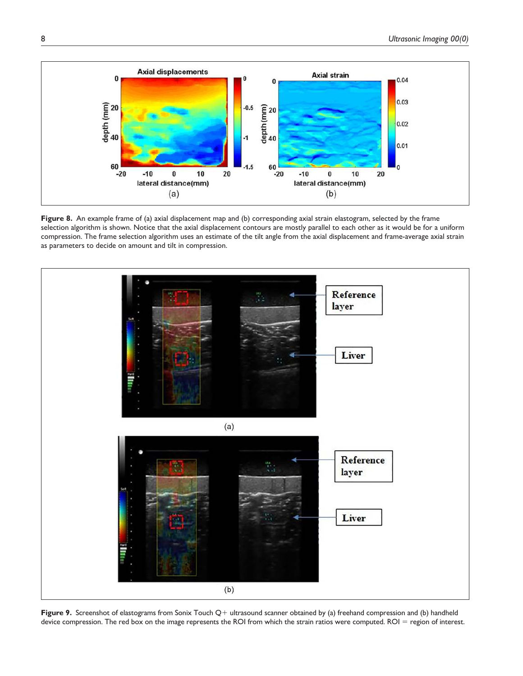

**Figure 8.** An example frame of (a) axial displacement map and (b) corresponding axial strain elastogram, selected by the frame selection algorithm is shown. Notice that the axial displacement contours are mostly parallel to each other as it would be for a uniform compression. The frame selection algorithm uses an estimate of the tilt angle from the axial displacement and frame-average axial strain as parameters to decide on amount and tilt in compression.



**Figure 9.** Screenshot of elastograms from Sonix Touch Q+ ultrasound scanner obtained by (a) freehand compression and (b) handheld device compression. The red box on the image represents the ROI from which the strain ratios were computed. ROI = region of interest.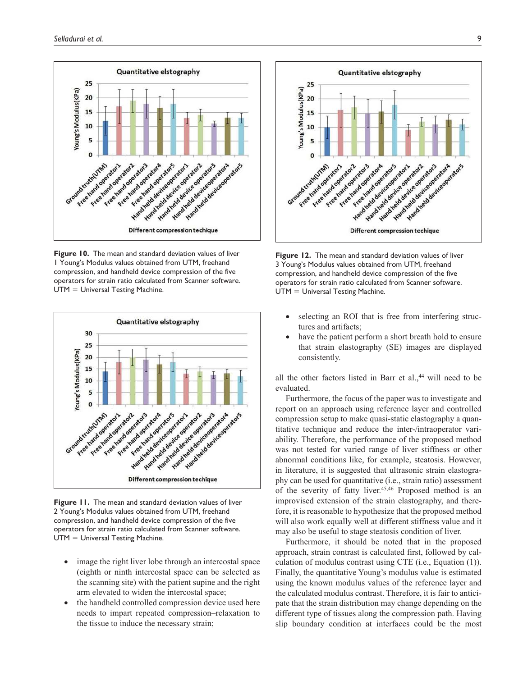

**Figure 10.** The mean and standard deviation values of liver 1 Young's Modulus values obtained from UTM, freehand compression, and handheld device compression of the five operators for strain ratio calculated from Scanner software. UTM = Universal Testing Machine.



**Figure 11.** The mean and standard deviation values of liver 2 Young's Modulus values obtained from UTM, freehand compression, and handheld device compression of the five operators for strain ratio calculated from Scanner software. UTM = Universal Testing Machine.

- image the right liver lobe through an intercostal space (eighth or ninth intercostal space can be selected as the scanning site) with the patient supine and the right arm elevated to widen the intercostal space;
- the handheld controlled compression device used here needs to impart repeated compression–relaxation to the tissue to induce the necessary strain;



**Figure 12.** The mean and standard deviation values of liver 3 Young's Modulus values obtained from UTM, freehand compression, and handheld device compression of the five operators for strain ratio calculated from Scanner software. UTM = Universal Testing Machine.

- selecting an ROI that is free from interfering structures and artifacts;
- have the patient perform a short breath hold to ensure that strain elastography (SE) images are displayed consistently.

all the other factors listed in Barr et al.,<sup>44</sup> will need to be evaluated.

Furthermore, the focus of the paper was to investigate and report on an approach using reference layer and controlled compression setup to make quasi-static elastography a quantitative technique and reduce the inter-/intraoperator variability. Therefore, the performance of the proposed method was not tested for varied range of liver stiffness or other abnormal conditions like, for example, steatosis. However, in literature, it is suggested that ultrasonic strain elastography can be used for quantitative (i.e., strain ratio) assessment of the severity of fatty liver.<sup>45,46</sup> Proposed method is an improvised extension of the strain elastography, and therefore, it is reasonable to hypothesize that the proposed method will also work equally well at different stiffness value and it may also be useful to stage steatosis condition of liver.

Furthermore, it should be noted that in the proposed approach, strain contrast is calculated first, followed by calculation of modulus contrast using CTE (i.e., Equation (1)). Finally, the quantitative Young's modulus value is estimated using the known modulus values of the reference layer and the calculated modulus contrast. Therefore, it is fair to anticipate that the strain distribution may change depending on the different type of tissues along the compression path. Having slip boundary condition at interfaces could be the most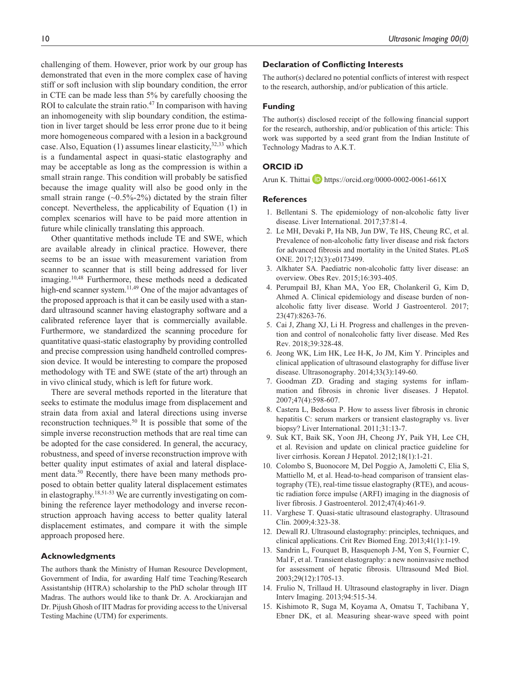challenging of them. However, prior work by our group has demonstrated that even in the more complex case of having stiff or soft inclusion with slip boundary condition, the error in CTE can be made less than 5% by carefully choosing the ROI to calculate the strain ratio.<sup>47</sup> In comparison with having an inhomogeneity with slip boundary condition, the estimation in liver target should be less error prone due to it being more homogeneous compared with a lesion in a background case. Also, Equation (1) assumes linear elasticity,  $32,33$  which is a fundamental aspect in quasi-static elastography and may be acceptable as long as the compression is within a small strain range. This condition will probably be satisfied because the image quality will also be good only in the small strain range  $(-0.5\% - 2\%)$  dictated by the strain filter concept. Nevertheless, the applicability of Equation (1) in complex scenarios will have to be paid more attention in future while clinically translating this approach.

Other quantitative methods include TE and SWE, which are available already in clinical practice. However, there seems to be an issue with measurement variation from scanner to scanner that is still being addressed for liver imaging.10,48 Furthermore, these methods need a dedicated high-end scanner system.<sup>11,49</sup> One of the major advantages of the proposed approach is that it can be easily used with a standard ultrasound scanner having elastography software and a calibrated reference layer that is commercially available. Furthermore, we standardized the scanning procedure for quantitative quasi-static elastography by providing controlled and precise compression using handheld controlled compression device. It would be interesting to compare the proposed methodology with TE and SWE (state of the art) through an in vivo clinical study, which is left for future work.

There are several methods reported in the literature that seeks to estimate the modulus image from displacement and strain data from axial and lateral directions using inverse reconstruction techniques.<sup>50</sup> It is possible that some of the simple inverse reconstruction methods that are real time can be adopted for the case considered. In general, the accuracy, robustness, and speed of inverse reconstruction improve with better quality input estimates of axial and lateral displacement data.<sup>50</sup> Recently, there have been many methods proposed to obtain better quality lateral displacement estimates in elastography.18,51-53 We are currently investigating on combining the reference layer methodology and inverse reconstruction approach having access to better quality lateral displacement estimates, and compare it with the simple approach proposed here.

## **Acknowledgments**

The authors thank the Ministry of Human Resource Development, Government of India, for awarding Half time Teaching/Research Assistantship (HTRA) scholarship to the PhD scholar through IIT Madras. The authors would like to thank Dr. A. Arockiarajan and Dr. Pijush Ghosh of IIT Madras for providing access to the Universal Testing Machine (UTM) for experiments.

## **Declaration of Conflicting Interests**

The author(s) declared no potential conflicts of interest with respect to the research, authorship, and/or publication of this article.

#### **Funding**

The author(s) disclosed receipt of the following financial support for the research, authorship, and/or publication of this article: This work was supported by a seed grant from the Indian Institute of Technology Madras to A.K.T.

### **ORCID iD**

Arun K. Thittai **i** https://orcid.org/0000-0002-0061-661X

#### **References**

- 1. Bellentani S. The epidemiology of non-alcoholic fatty liver disease. Liver International. 2017;37:81-4.
- 2. Le MH, Devaki P, Ha NB, Jun DW, Te HS, Cheung RC, et al. Prevalence of non-alcoholic fatty liver disease and risk factors for advanced fibrosis and mortality in the United States. PLoS ONE. 2017;12(3):e0173499.
- 3. Alkhater SA. Paediatric non-alcoholic fatty liver disease: an overview. Obes Rev. 2015;16:393-405.
- 4. Perumpail BJ, Khan MA, Yoo ER, Cholankeril G, Kim D, Ahmed A. Clinical epidemiology and disease burden of nonalcoholic fatty liver disease. World J Gastroenterol. 2017; 23(47):8263-76.
- 5. Cai J, Zhang XJ, Li H. Progress and challenges in the prevention and control of nonalcoholic fatty liver disease. Med Res Rev. 2018;39:328-48.
- 6. Jeong WK, Lim HK, Lee H-K, Jo JM, Kim Y. Principles and clinical application of ultrasound elastography for diffuse liver disease. Ultrasonography. 2014;33(3):149-60.
- 7. Goodman ZD. Grading and staging systems for inflammation and fibrosis in chronic liver diseases. J Hepatol. 2007;47(4):598-607.
- 8. Castera L, Bedossa P. How to assess liver fibrosis in chronic hepatitis C: serum markers or transient elastography vs. liver biopsy? Liver International. 2011;31:13-7.
- 9. Suk KT, Baik SK, Yoon JH, Cheong JY, Paik YH, Lee CH, et al. Revision and update on clinical practice guideline for liver cirrhosis. Korean J Hepatol. 2012;18(1):1-21.
- 10. Colombo S, Buonocore M, Del Poggio A, Jamoletti C, Elia S, Mattiello M, et al. Head-to-head comparison of transient elastography (TE), real-time tissue elastography (RTE), and acoustic radiation force impulse (ARFI) imaging in the diagnosis of liver fibrosis. J Gastroenterol. 2012;47(4):461-9.
- 11. Varghese T. Quasi-static ultrasound elastography. Ultrasound Clin. 2009;4:323-38.
- 12. Dewall RJ. Ultrasound elastography: principles, techniques, and clinical applications. Crit Rev Biomed Eng. 2013;41(1):1-19.
- 13. Sandrin L, Fourquet B, Hasquenoph J-M, Yon S, Fournier C, Mal F, et al. Transient elastography: a new noninvasive method for assessment of hepatic fibrosis. Ultrasound Med Biol. 2003;29(12):1705-13.
- 14. Frulio N, Trillaud H. Ultrasound elastography in liver. Diagn Interv Imaging. 2013;94:515-34.
- 15. Kishimoto R, Suga M, Koyama A, Omatsu T, Tachibana Y, Ebner DK, et al. Measuring shear-wave speed with point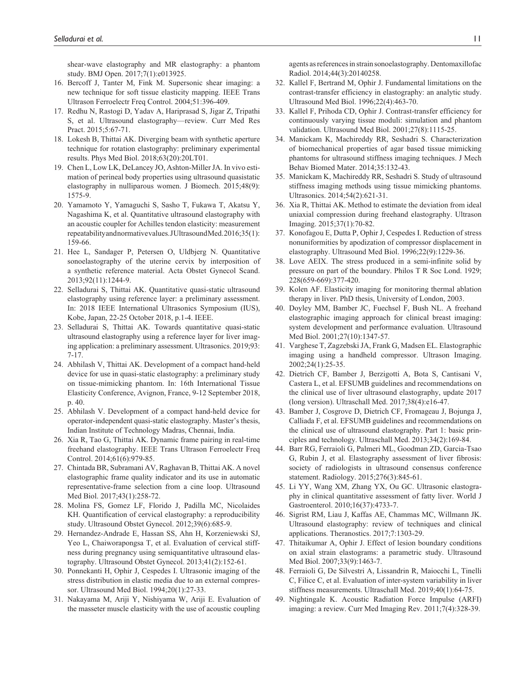shear-wave elastography and MR elastography: a phantom study. BMJ Open. 2017;7(1):e013925.

- 16. Bercoff J, Tanter M, Fink M. Supersonic shear imaging: a new technique for soft tissue elasticity mapping. IEEE Trans Ultrason Ferroelectr Freq Control. 2004;51:396-409.
- 17. Redhu N, Rastogi D, Yadav A, Hariprasad S, Jigar Z, Tripathi S, et al. Ultrasound elastography—review. Curr Med Res Pract. 2015;5:67-71.
- 18. Lokesh B, Thittai AK. Diverging beam with synthetic aperture technique for rotation elastography: preliminary experimental results. Phys Med Biol. 2018;63(20):20LT01.
- 19. Chen L, Low LK, DeLancey JO, Ashton-Miller JA. In vivo estimation of perineal body properties using ultrasound quasistatic elastography in nulliparous women. J Biomech. 2015;48(9): 1575-9.
- 20. Yamamoto Y, Yamaguchi S, Sasho T, Fukawa T, Akatsu Y, Nagashima K, et al. Quantitative ultrasound elastography with an acoustic coupler for Achilles tendon elasticity: measurement repeatability and normative values. JUltrasound Med. 2016;35(1): 159-66.
- 21. Hee L, Sandager P, Petersen O, Uldbjerg N. Quantitative sonoelastography of the uterine cervix by interposition of a synthetic reference material. Acta Obstet Gynecol Scand. 2013;92(11):1244-9.
- 22. Selladurai S, Thittai AK. Quantitative quasi-static ultrasound elastography using reference layer: a preliminary assessment. In: 2018 IEEE International Ultrasonics Symposium (IUS), Kobe, Japan, 22-25 October 2018, p.1-4. IEEE.
- 23. Selladurai S, Thittai AK. Towards quantitative quasi-static ultrasound elastography using a reference layer for liver imaging application: a preliminary assessment. Ultrasonics. 2019;93: 7-17.
- 24. Abhilash V, Thittai AK. Development of a compact hand-held device for use in quasi-static elastography: a preliminary study on tissue-mimicking phantom. In: 16th International Tissue Elasticity Conference, Avignon, France, 9-12 September 2018, p. 40.
- 25. Abhilash V. Development of a compact hand-held device for operator-independent quasi-static elastography. Master's thesis, Indian Institute of Technology Madras, Chennai, India.
- 26. Xia R, Tao G, Thittai AK. Dynamic frame pairing in real-time freehand elastography. IEEE Trans Ultrason Ferroelectr Freq Control. 2014;61(6):979-85.
- 27. Chintada BR, Subramani AV, Raghavan B, Thittai AK. A novel elastographic frame quality indicator and its use in automatic representative-frame selection from a cine loop. Ultrasound Med Biol. 2017;43(1):258-72.
- 28. Molina FS, Gomez LF, Florido J, Padilla MC, Nicolaides KH. Quantification of cervical elastography: a reproducibility study. Ultrasound Obstet Gynecol. 2012;39(6):685-9.
- 29. Hernandez-Andrade E, Hassan SS, Ahn H, Korzeniewski SJ, Yeo L, Chaiworapongsa T, et al. Evaluation of cervical stiffness during pregnancy using semiquantitative ultrasound elastography. Ultrasound Obstet Gynecol. 2013;41(2):152-61.
- 30. Ponnekanti H, Ophir J, Cespedes I. Ultrasonic imaging of the stress distribution in elastic media due to an external compressor. Ultrasound Med Biol. 1994;20(1):27-33.
- 31. Nakayama M, Ariji Y, Nishiyama W, Ariji E. Evaluation of the masseter muscle elasticity with the use of acoustic coupling

agents as references in strain sonoelastography. Dentomaxillofac Radiol. 2014;44(3):20140258.

- 32. Kallel F, Bertrand M, Ophir J. Fundamental limitations on the contrast-transfer efficiency in elastography: an analytic study. Ultrasound Med Biol. 1996;22(4):463-70.
- 33. Kallel F, Prihoda CD, Ophir J. Contrast-transfer efficiency for continuously varying tissue moduli: simulation and phantom validation. Ultrasound Med Biol. 2001;27(8):1115-25.
- 34. Manickam K, Machireddy RR, Seshadri S. Characterization of biomechanical properties of agar based tissue mimicking phantoms for ultrasound stiffness imaging techniques. J Mech Behav Biomed Mater. 2014;35:132-43.
- 35. Manickam K, Machireddy RR, Seshadri S. Study of ultrasound stiffness imaging methods using tissue mimicking phantoms. Ultrasonics. 2014;54(2):621-31.
- 36. Xia R, Thittai AK. Method to estimate the deviation from ideal uniaxial compression during freehand elastography. Ultrason Imaging. 2015;37(1):70-82.
- 37. Konofagou E, Dutta P, Ophir J, Cespedes I. Reduction of stress nonuniformities by apodization of compressor displacement in elastography. Ultrasound Med Biol. 1996;22(9):1229-36.
- 38. Love AEIX. The stress produced in a semi-infinite solid by pressure on part of the boundary. Philos T R Soc Lond. 1929; 228(659-669):377-420.
- 39. Kolen AF. Elasticity imaging for monitoring thermal ablation therapy in liver. PhD thesis, University of London, 2003.
- 40. Doyley MM, Bamber JC, Fuechsel F, Bush NL. A freehand elastographic imaging approach for clinical breast imaging: system development and performance evaluation. Ultrasound Med Biol. 2001;27(10):1347-57.
- 41. Varghese T, Zagzebski JA, Frank G, Madsen EL. Elastographic imaging using a handheld compressor. Ultrason Imaging. 2002;24(1):25-35.
- 42. Dietrich CF, Bamber J, Berzigotti A, Bota S, Cantisani V, Castera L, et al. EFSUMB guidelines and recommendations on the clinical use of liver ultrasound elastography, update 2017 (long version). Ultraschall Med. 2017;38(4):e16-47.
- 43. Bamber J, Cosgrove D, Dietrich CF, Fromageau J, Bojunga J, Calliada F, et al. EFSUMB guidelines and recommendations on the clinical use of ultrasound elastography. Part 1: basic principles and technology. Ultraschall Med. 2013;34(2):169-84.
- 44. Barr RG, Ferraioli G, Palmeri ML, Goodman ZD, Garcia-Tsao G, Rubin J, et al. Elastography assessment of liver fibrosis: society of radiologists in ultrasound consensus conference statement. Radiology. 2015;276(3):845-61.
- 45. Li YY, Wang XM, Zhang YX, Ou GC. Ultrasonic elastography in clinical quantitative assessment of fatty liver. World J Gastroenterol. 2010;16(37):4733-7.
- 46. Sigrist RM, Liau J, Kaffas AE, Chammas MC, Willmann JK. Ultrasound elastography: review of techniques and clinical applications. Theranostics. 2017;7:1303-29.
- 47. Thitaikumar A, Ophir J. Effect of lesion boundary conditions on axial strain elastograms: a parametric study. Ultrasound Med Biol. 2007;33(9):1463-7.
- 48. Ferraioli G, De Silvestri A, Lissandrin R, Maiocchi L, Tinelli C, Filice C, et al. Evaluation of inter-system variability in liver stiffness measurements. Ultraschall Med. 2019;40(1):64-75.
- 49. Nightingale K. Acoustic Radiation Force Impulse (ARFI) imaging: a review. Curr Med Imaging Rev. 2011;7(4):328-39.